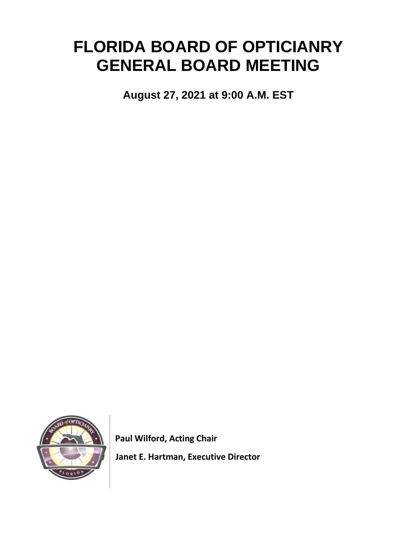# **FLORIDA BOARD OF OPTICIANRY GENERAL BOARD MEETING**

**August 27, 2021 at 9:00 A.M. EST**



 **Paul Wilford, Acting Chair**

 **Janet E. Hartman, Executive Director**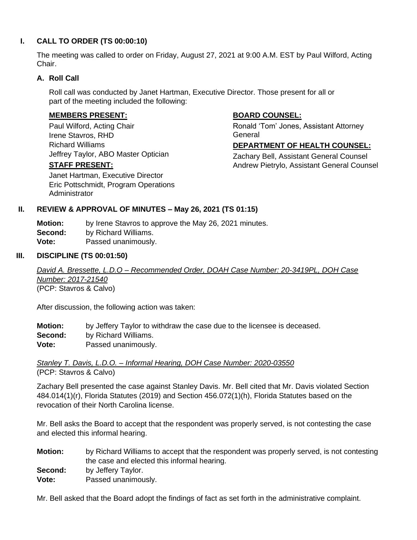## **I. CALL TO ORDER (TS 00:00:10)**

The meeting was called to order on Friday, August 27, 2021 at 9:00 A.M. EST by Paul Wilford, Acting Chair.

#### **A. Roll Call**

Roll call was conducted by Janet Hartman, Executive Director. Those present for all or part of the meeting included the following:

## **MEMBERS PRESENT:**

Paul Wilford, Acting Chair Irene Stavros, RHD Richard Williams Jeffrey Taylor, ABO Master Optician

#### **STAFF PRESENT:**

Janet Hartman, Executive Director Eric Pottschmidt, Program Operations **Administrator** 

## **BOARD COUNSEL:**

Ronald 'Tom' Jones, Assistant Attorney **General** 

#### **DEPARTMENT OF HEALTH COUNSEL:**

Zachary Bell, Assistant General Counsel Andrew Pietrylo, Assistant General Counsel

#### **II. REVIEW & APPROVAL OF MINUTES – May 26, 2021 (TS 01:15)**

**Motion:** by Irene Stavros to approve the May 26, 2021 minutes.

**Second:** by Richard Williams.

**Vote:** Passed unanimously.

#### **III. DISCIPLINE (TS 00:01:50)**

*David A. Bressette, L.D.O – Recommended Order, DOAH Case Number: 20-3419PL, DOH Case Number: 2017-21540* (PCP: Stavros & Calvo)

After discussion, the following action was taken:

**Motion:** by Jeffery Taylor to withdraw the case due to the licensee is deceased.

**Second:** by Richard Williams.

**Vote:** Passed unanimously.

#### *Stanley T. Davis, L.D.O. – Informal Hearing, DOH Case Number: 2020-03550* (PCP: Stavros & Calvo)

Zachary Bell presented the case against Stanley Davis. Mr. Bell cited that Mr. Davis violated Section 484.014(1)(r), Florida Statutes (2019) and Section 456.072(1)(h), Florida Statutes based on the revocation of their North Carolina license.

Mr. Bell asks the Board to accept that the respondent was properly served, is not contesting the case and elected this informal hearing.

- **Motion:** by Richard Williams to accept that the respondent was properly served, is not contesting the case and elected this informal hearing.
- **Second:** by Jeffery Taylor.
- **Vote:** Passed unanimously.

Mr. Bell asked that the Board adopt the findings of fact as set forth in the administrative complaint.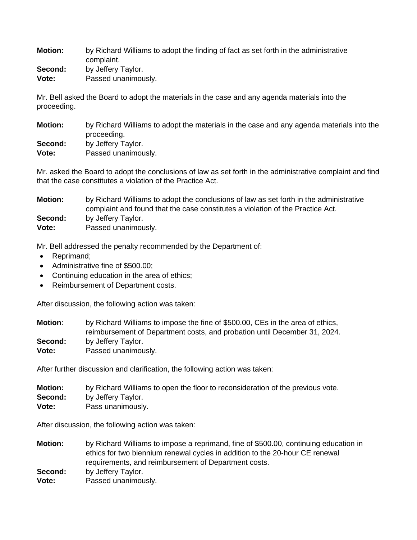**Motion:** by Richard Williams to adopt the finding of fact as set forth in the administrative complaint. **Second:** by Jeffery Taylor.

**Vote:** Passed unanimously.

Mr. Bell asked the Board to adopt the materials in the case and any agenda materials into the proceeding.

**Motion:** by Richard Williams to adopt the materials in the case and any agenda materials into the proceeding. **Second:** by Jeffery Taylor. **Vote:** Passed unanimously.

Mr. asked the Board to adopt the conclusions of law as set forth in the administrative complaint and find that the case constitutes a violation of the Practice Act.

| <b>Motion:</b> | by Richard Williams to adopt the conclusions of law as set forth in the administrative |
|----------------|----------------------------------------------------------------------------------------|
|                | complaint and found that the case constitutes a violation of the Practice Act.         |
| Second:        | by Jeffery Taylor.                                                                     |
| <b>Vote:</b>   | Passed unanimously.                                                                    |

Mr. Bell addressed the penalty recommended by the Department of:

- Reprimand:
- Administrative fine of \$500.00;
- Continuing education in the area of ethics;
- Reimbursement of Department costs.

After discussion, the following action was taken:

**Motion**: by Richard Williams to impose the fine of \$500.00, CEs in the area of ethics, reimbursement of Department costs, and probation until December 31, 2024. **Second:** by Jeffery Taylor. **Vote:** Passed unanimously.

After further discussion and clarification, the following action was taken:

| <b>Motion:</b> | by Richard Williams to open the floor to reconsideration of the previous vote. |
|----------------|--------------------------------------------------------------------------------|
| <b>Second:</b> | by Jeffery Taylor.                                                             |
| Vote:          | Pass unanimously.                                                              |

After discussion, the following action was taken:

- **Motion:** by Richard Williams to impose a reprimand, fine of \$500.00, continuing education in ethics for two biennium renewal cycles in addition to the 20-hour CE renewal requirements, and reimbursement of Department costs. **Second:** by Jeffery Taylor.
- **Vote:** Passed unanimously.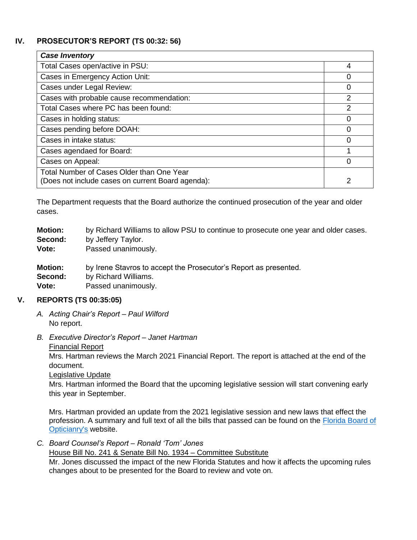## **IV. PROSECUTOR'S REPORT (TS 00:32: 56)**

| <b>Case Inventory</b>                                                                          |                |  |
|------------------------------------------------------------------------------------------------|----------------|--|
| Total Cases open/active in PSU:                                                                |                |  |
| Cases in Emergency Action Unit:                                                                |                |  |
| Cases under Legal Review:                                                                      |                |  |
| Cases with probable cause recommendation:                                                      | 2              |  |
| Total Cases where PC has been found:                                                           | $\overline{2}$ |  |
| Cases in holding status:                                                                       |                |  |
| Cases pending before DOAH:                                                                     |                |  |
| Cases in intake status:                                                                        |                |  |
| Cases agendaed for Board:                                                                      |                |  |
| Cases on Appeal:                                                                               | ∩              |  |
| Total Number of Cases Older than One Year<br>(Does not include cases on current Board agenda): |                |  |
|                                                                                                |                |  |

The Department requests that the Board authorize the continued prosecution of the year and older cases.

| <b>Motion:</b> | by Richard Williams to allow PSU to continue to prosecute one year and older cases. |
|----------------|-------------------------------------------------------------------------------------|
| Second:        | by Jeffery Taylor.                                                                  |
| <b>Vote:</b>   | Passed unanimously.                                                                 |

**Motion:** by Irene Stavros to accept the Prosecutor's Report as presented.

**Second:** by Richard Williams.

**Vote:** Passed unanimously.

## **V. REPORTS (TS 00:35:05)**

- *A. Acting Chair's Report – Paul Wilford* No report.
- *B. Executive Director's Report – Janet Hartman*

Financial Report

Mrs. Hartman reviews the March 2021 Financial Report. The report is attached at the end of the document.

Legislative Update

Mrs. Hartman informed the Board that the upcoming legislative session will start convening early this year in September.

Mrs. Hartman provided an update from the 2021 legislative session and new laws that effect the profession. A summary and full text of all the bills that passed can be found on the [Florida Board of](https://floridasopticianry.gov/latest-news/new-legislation-impacting-your-profession-5/)  [Opticianry's](https://floridasopticianry.gov/latest-news/new-legislation-impacting-your-profession-5/) website.

*C. Board Counsel's Report – Ronald 'Tom' Jones*

House Bill No. 241 & Senate Bill No. 1934 – Committee Substitute

Mr. Jones discussed the impact of the new Florida Statutes and how it affects the upcoming rules changes about to be presented for the Board to review and vote on.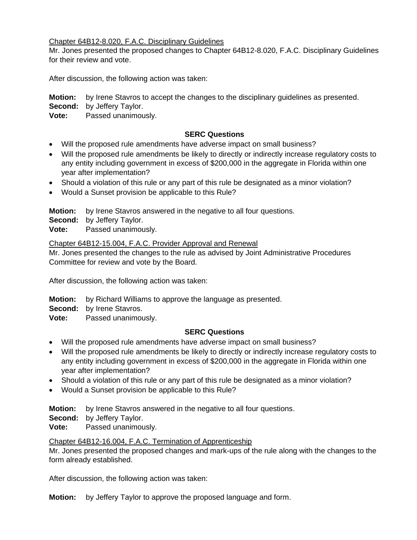#### Chapter 64B12-8.020, F.A.C. Disciplinary Guidelines

Mr. Jones presented the proposed changes to Chapter 64B12-8.020, F.A.C. Disciplinary Guidelines for their review and vote.

After discussion, the following action was taken:

**Motion:** by Irene Stavros to accept the changes to the disciplinary guidelines as presented.

**Second:** by Jeffery Taylor.

**Vote:** Passed unanimously.

## **SERC Questions**

- Will the proposed rule amendments have adverse impact on small business?
- Will the proposed rule amendments be likely to directly or indirectly increase regulatory costs to any entity including government in excess of \$200,000 in the aggregate in Florida within one year after implementation?
- Should a violation of this rule or any part of this rule be designated as a minor violation?
- Would a Sunset provision be applicable to this Rule?

**Motion:** by Irene Stavros answered in the negative to all four questions.

**Second:** by Jeffery Taylor.

**Vote:** Passed unanimously.

## Chapter 64B12-15.004, F.A.C. Provider Approval and Renewal

Mr. Jones presented the changes to the rule as advised by Joint Administrative Procedures Committee for review and vote by the Board.

After discussion, the following action was taken:

- **Motion:** by Richard Williams to approve the language as presented.
- **Second:** by Irene Stavros.
- **Vote:** Passed unanimously.

## **SERC Questions**

- Will the proposed rule amendments have adverse impact on small business?
- Will the proposed rule amendments be likely to directly or indirectly increase regulatory costs to any entity including government in excess of \$200,000 in the aggregate in Florida within one year after implementation?
- Should a violation of this rule or any part of this rule be designated as a minor violation?
- Would a Sunset provision be applicable to this Rule?

**Motion:** by Irene Stavros answered in the negative to all four questions.

**Second:** by Jeffery Taylor.

**Vote:** Passed unanimously.

Chapter 64B12-16.004, F.A.C. Termination of Apprenticeship

Mr. Jones presented the proposed changes and mark-ups of the rule along with the changes to the form already established.

After discussion, the following action was taken:

**Motion:** by Jeffery Taylor to approve the proposed language and form.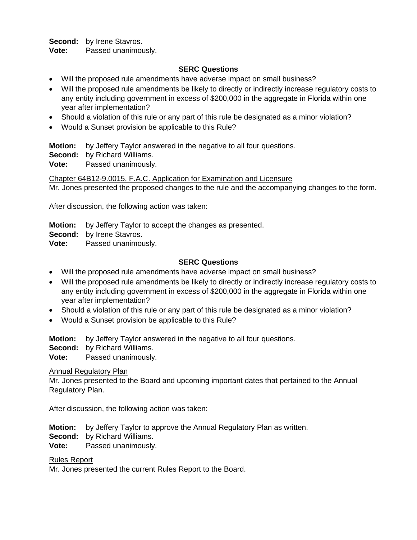**Second:** by Irene Stavros.

**Vote:** Passed unanimously.

### **SERC Questions**

- Will the proposed rule amendments have adverse impact on small business?
- Will the proposed rule amendments be likely to directly or indirectly increase regulatory costs to any entity including government in excess of \$200,000 in the aggregate in Florida within one year after implementation?
- Should a violation of this rule or any part of this rule be designated as a minor violation?
- Would a Sunset provision be applicable to this Rule?

**Motion:** by Jeffery Taylor answered in the negative to all four questions.

**Second:** by Richard Williams.

**Vote:** Passed unanimously.

Chapter 64B12-9.0015, F.A.C. Application for Examination and Licensure

Mr. Jones presented the proposed changes to the rule and the accompanying changes to the form.

After discussion, the following action was taken:

**Motion:** by Jeffery Taylor to accept the changes as presented.

- **Second:** by Irene Stavros.
- **Vote:** Passed unanimously.

## **SERC Questions**

- Will the proposed rule amendments have adverse impact on small business?
- Will the proposed rule amendments be likely to directly or indirectly increase regulatory costs to any entity including government in excess of \$200,000 in the aggregate in Florida within one year after implementation?
- Should a violation of this rule or any part of this rule be designated as a minor violation?
- Would a Sunset provision be applicable to this Rule?

**Motion:** by Jeffery Taylor answered in the negative to all four questions.

**Second:** by Richard Williams.

**Vote:** Passed unanimously.

#### Annual Regulatory Plan

Mr. Jones presented to the Board and upcoming important dates that pertained to the Annual Regulatory Plan.

After discussion, the following action was taken:

**Motion:** by Jeffery Taylor to approve the Annual Regulatory Plan as written.

- **Second:** by Richard Williams.
- **Vote:** Passed unanimously.

#### Rules Report

Mr. Jones presented the current Rules Report to the Board.